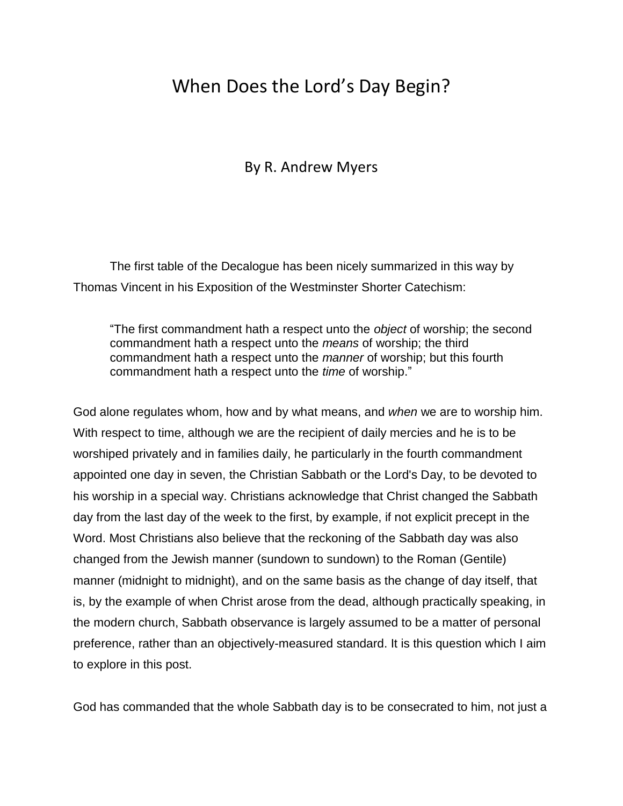# When Does the Lord's Day Begin?

# By R. Andrew Myers

The first table of the Decalogue has been nicely summarized in this way by Thomas Vincent in his Exposition of the Westminster Shorter Catechism:

"The first commandment hath a respect unto the *object* of worship; the second commandment hath a respect unto the *means* of worship; the third commandment hath a respect unto the *manner* of worship; but this fourth commandment hath a respect unto the *time* of worship."

God alone regulates whom, how and by what means, and *when* we are to worship him. With respect to time, although we are the recipient of daily mercies and he is to be worshiped privately and in families daily, he particularly in the fourth commandment appointed one day in seven, the Christian Sabbath or the Lord's Day, to be devoted to his worship in a special way. Christians acknowledge that Christ changed the Sabbath day from the last day of the week to the first, by example, if not explicit precept in the Word. Most Christians also believe that the reckoning of the Sabbath day was also changed from the Jewish manner (sundown to sundown) to the Roman (Gentile) manner (midnight to midnight), and on the same basis as the change of day itself, that is, by the example of when Christ arose from the dead, although practically speaking, in the modern church, Sabbath observance is largely assumed to be a matter of personal preference, rather than an objectively-measured standard. It is this question which I aim to explore in this post.

God has commanded that the whole Sabbath day is to be consecrated to him, not just a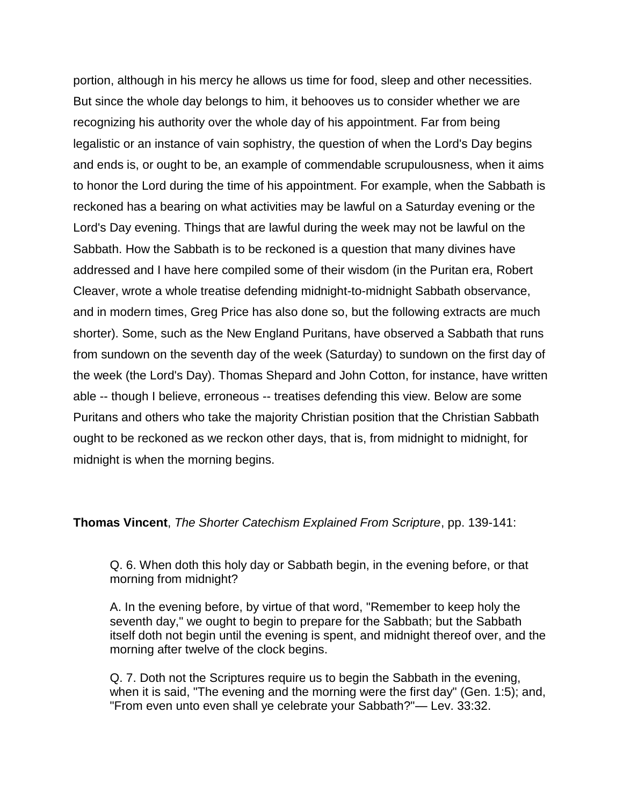portion, although in his mercy he allows us time for food, sleep and other necessities. But since the whole day belongs to him, it behooves us to consider whether we are recognizing his authority over the whole day of his appointment. Far from being legalistic or an instance of vain sophistry, the question of when the Lord's Day begins and ends is, or ought to be, an example of commendable scrupulousness, when it aims to honor the Lord during the time of his appointment. For example, when the Sabbath is reckoned has a bearing on what activities may be lawful on a Saturday evening or the Lord's Day evening. Things that are lawful during the week may not be lawful on the Sabbath. How the Sabbath is to be reckoned is a question that many divines have addressed and I have here compiled some of their wisdom (in the Puritan era, Robert Cleaver, wrote a whole treatise defending midnight-to-midnight Sabbath observance, and in modern times, Greg Price has also done so, but the following extracts are much shorter). Some, such as the New England Puritans, have observed a Sabbath that runs from sundown on the seventh day of the week (Saturday) to sundown on the first day of the week (the Lord's Day). Thomas Shepard and John Cotton, for instance, have written able -- though I believe, erroneous -- treatises defending this view. Below are some Puritans and others who take the majority Christian position that the Christian Sabbath ought to be reckoned as we reckon other days, that is, from midnight to midnight, for midnight is when the morning begins.

**Thomas Vincent**, *The Shorter Catechism Explained From Scripture*, pp. 139-141:

Q. 6. When doth this holy day or Sabbath begin, in the evening before, or that morning from midnight?

A. In the evening before, by virtue of that word, "Remember to keep holy the seventh day," we ought to begin to prepare for the Sabbath; but the Sabbath itself doth not begin until the evening is spent, and midnight thereof over, and the morning after twelve of the clock begins.

Q. 7. Doth not the Scriptures require us to begin the Sabbath in the evening, when it is said, "The evening and the morning were the first day" (Gen. 1:5); and, "From even unto even shall ye celebrate your Sabbath?"— Lev. 33:32.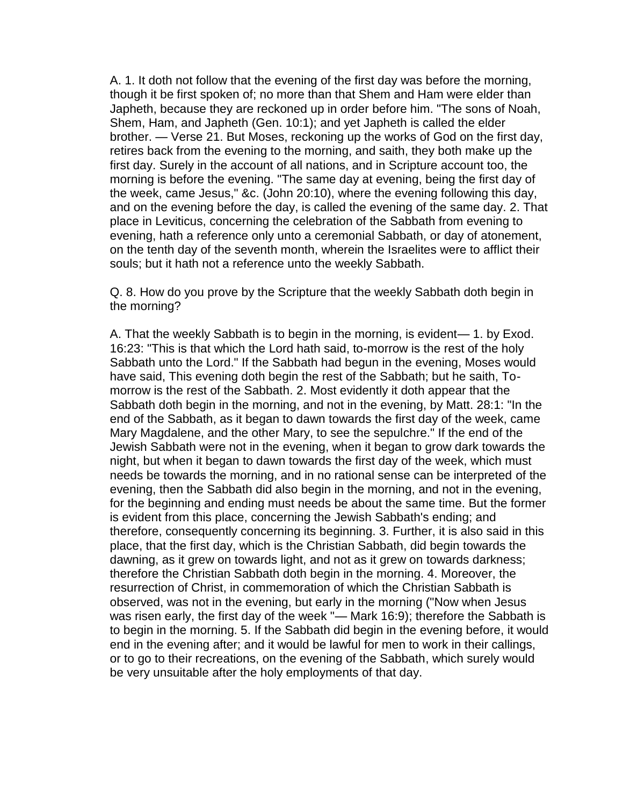A. 1. It doth not follow that the evening of the first day was before the morning, though it be first spoken of; no more than that Shem and Ham were elder than Japheth, because they are reckoned up in order before him. "The sons of Noah, Shem, Ham, and Japheth (Gen. 10:1); and yet Japheth is called the elder brother. — Verse 21. But Moses, reckoning up the works of God on the first day, retires back from the evening to the morning, and saith, they both make up the first day. Surely in the account of all nations, and in Scripture account too, the morning is before the evening. "The same day at evening, being the first day of the week, came Jesus," &c. (John 20:10), where the evening following this day, and on the evening before the day, is called the evening of the same day. 2. That place in Leviticus, concerning the celebration of the Sabbath from evening to evening, hath a reference only unto a ceremonial Sabbath, or day of atonement, on the tenth day of the seventh month, wherein the Israelites were to afflict their souls; but it hath not a reference unto the weekly Sabbath.

Q. 8. How do you prove by the Scripture that the weekly Sabbath doth begin in the morning?

A. That the weekly Sabbath is to begin in the morning, is evident— 1. by Exod. 16:23: "This is that which the Lord hath said, to-morrow is the rest of the holy Sabbath unto the Lord." If the Sabbath had begun in the evening, Moses would have said, This evening doth begin the rest of the Sabbath; but he saith, Tomorrow is the rest of the Sabbath. 2. Most evidently it doth appear that the Sabbath doth begin in the morning, and not in the evening, by Matt. 28:1: "In the end of the Sabbath, as it began to dawn towards the first day of the week, came Mary Magdalene, and the other Mary, to see the sepulchre." If the end of the Jewish Sabbath were not in the evening, when it began to grow dark towards the night, but when it began to dawn towards the first day of the week, which must needs be towards the morning, and in no rational sense can be interpreted of the evening, then the Sabbath did also begin in the morning, and not in the evening, for the beginning and ending must needs be about the same time. But the former is evident from this place, concerning the Jewish Sabbath's ending; and therefore, consequently concerning its beginning. 3. Further, it is also said in this place, that the first day, which is the Christian Sabbath, did begin towards the dawning, as it grew on towards light, and not as it grew on towards darkness; therefore the Christian Sabbath doth begin in the morning. 4. Moreover, the resurrection of Christ, in commemoration of which the Christian Sabbath is observed, was not in the evening, but early in the morning ("Now when Jesus was risen early, the first day of the week "— Mark 16:9); therefore the Sabbath is to begin in the morning. 5. If the Sabbath did begin in the evening before, it would end in the evening after; and it would be lawful for men to work in their callings, or to go to their recreations, on the evening of the Sabbath, which surely would be very unsuitable after the holy employments of that day.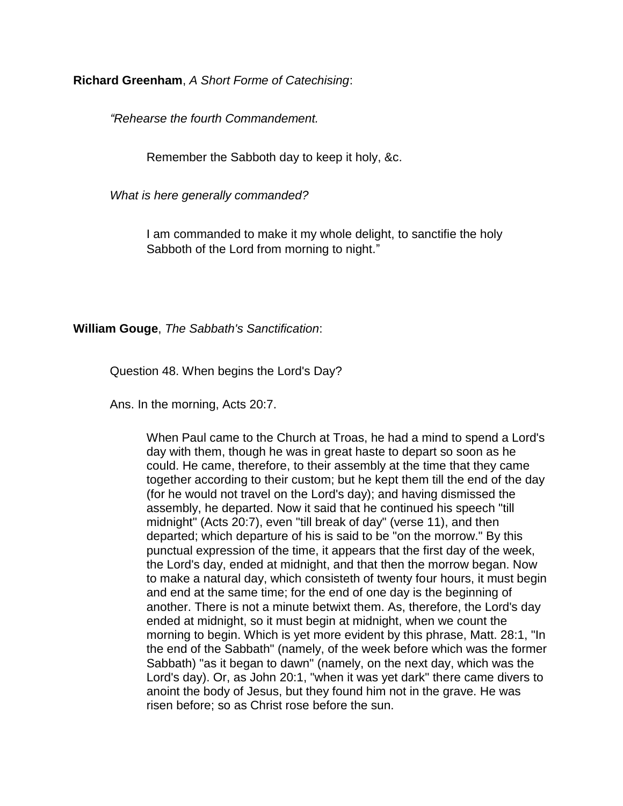**Richard Greenham**, *A Short Forme of Catechising*:

*"Rehearse the fourth Commandement.*

Remember the Sabboth day to keep it holy, &c.

*What is here generally commanded?*

I am commanded to make it my whole delight, to sanctifie the holy Sabboth of the Lord from morning to night."

**William Gouge**, *The Sabbath's Sanctification*:

Question 48. When begins the Lord's Day?

Ans. In the morning, Acts 20:7.

When Paul came to the Church at Troas, he had a mind to spend a Lord's day with them, though he was in great haste to depart so soon as he could. He came, therefore, to their assembly at the time that they came together according to their custom; but he kept them till the end of the day (for he would not travel on the Lord's day); and having dismissed the assembly, he departed. Now it said that he continued his speech "till midnight" (Acts 20:7), even "till break of day" (verse 11), and then departed; which departure of his is said to be "on the morrow." By this punctual expression of the time, it appears that the first day of the week, the Lord's day, ended at midnight, and that then the morrow began. Now to make a natural day, which consisteth of twenty four hours, it must begin and end at the same time; for the end of one day is the beginning of another. There is not a minute betwixt them. As, therefore, the Lord's day ended at midnight, so it must begin at midnight, when we count the morning to begin. Which is yet more evident by this phrase, Matt. 28:1, "In the end of the Sabbath" (namely, of the week before which was the former Sabbath) "as it began to dawn" (namely, on the next day, which was the Lord's day). Or, as John 20:1, "when it was yet dark" there came divers to anoint the body of Jesus, but they found him not in the grave. He was risen before; so as Christ rose before the sun.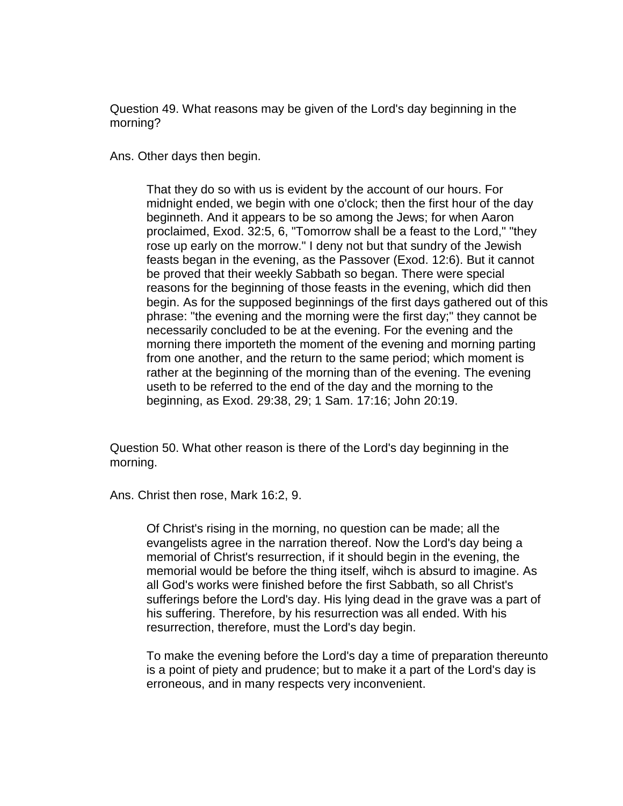Question 49. What reasons may be given of the Lord's day beginning in the morning?

Ans. Other days then begin.

That they do so with us is evident by the account of our hours. For midnight ended, we begin with one o'clock; then the first hour of the day beginneth. And it appears to be so among the Jews; for when Aaron proclaimed, Exod. 32:5, 6, "Tomorrow shall be a feast to the Lord," "they rose up early on the morrow." I deny not but that sundry of the Jewish feasts began in the evening, as the Passover (Exod. 12:6). But it cannot be proved that their weekly Sabbath so began. There were special reasons for the beginning of those feasts in the evening, which did then begin. As for the supposed beginnings of the first days gathered out of this phrase: "the evening and the morning were the first day;" they cannot be necessarily concluded to be at the evening. For the evening and the morning there importeth the moment of the evening and morning parting from one another, and the return to the same period; which moment is rather at the beginning of the morning than of the evening. The evening useth to be referred to the end of the day and the morning to the beginning, as Exod. 29:38, 29; 1 Sam. 17:16; John 20:19.

Question 50. What other reason is there of the Lord's day beginning in the morning.

Ans. Christ then rose, Mark 16:2, 9.

Of Christ's rising in the morning, no question can be made; all the evangelists agree in the narration thereof. Now the Lord's day being a memorial of Christ's resurrection, if it should begin in the evening, the memorial would be before the thing itself, wihch is absurd to imagine. As all God's works were finished before the first Sabbath, so all Christ's sufferings before the Lord's day. His lying dead in the grave was a part of his suffering. Therefore, by his resurrection was all ended. With his resurrection, therefore, must the Lord's day begin.

To make the evening before the Lord's day a time of preparation thereunto is a point of piety and prudence; but to make it a part of the Lord's day is erroneous, and in many respects very inconvenient.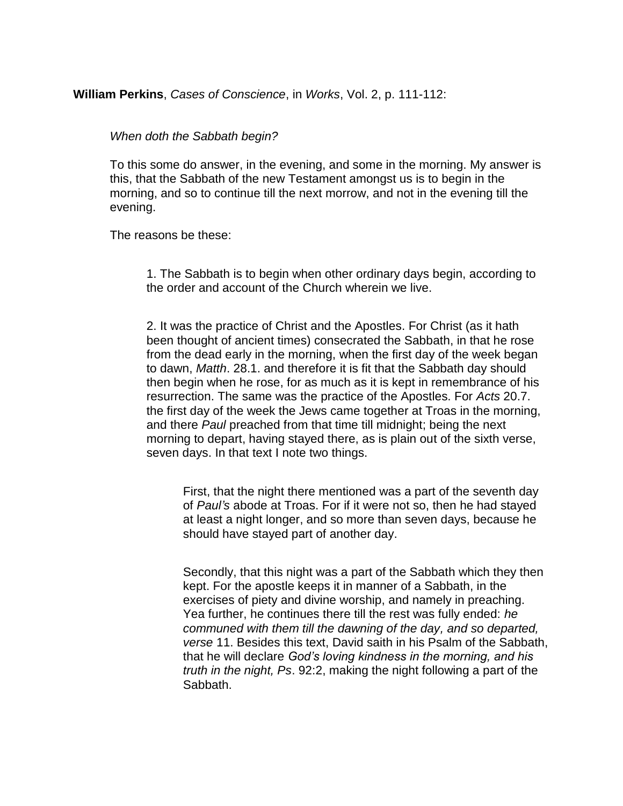## **William Perkins**, *Cases of Conscience*, in *Works*, Vol. 2, p. 111-112:

#### *When doth the Sabbath begin?*

To this some do answer, in the evening, and some in the morning. My answer is this, that the Sabbath of the new Testament amongst us is to begin in the morning, and so to continue till the next morrow, and not in the evening till the evening.

The reasons be these:

1. The Sabbath is to begin when other ordinary days begin, according to the order and account of the Church wherein we live.

2. It was the practice of Christ and the Apostles. For Christ (as it hath been thought of ancient times) consecrated the Sabbath, in that he rose from the dead early in the morning, when the first day of the week began to dawn, *Matth*. 28.1. and therefore it is fit that the Sabbath day should then begin when he rose, for as much as it is kept in remembrance of his resurrection. The same was the practice of the Apostles. For *Acts* 20.7. the first day of the week the Jews came together at Troas in the morning, and there *Paul* preached from that time till midnight; being the next morning to depart, having stayed there, as is plain out of the sixth verse, seven days. In that text I note two things.

First, that the night there mentioned was a part of the seventh day of *Paul's* abode at Troas. For if it were not so, then he had stayed at least a night longer, and so more than seven days, because he should have stayed part of another day.

Secondly, that this night was a part of the Sabbath which they then kept. For the apostle keeps it in manner of a Sabbath, in the exercises of piety and divine worship, and namely in preaching. Yea further, he continues there till the rest was fully ended: *he communed with them till the dawning of the day, and so departed, verse* 11. Besides this text, David saith in his Psalm of the Sabbath, that he will declare *God's loving kindness in the morning, and his truth in the night, Ps*. 92:2, making the night following a part of the Sabbath.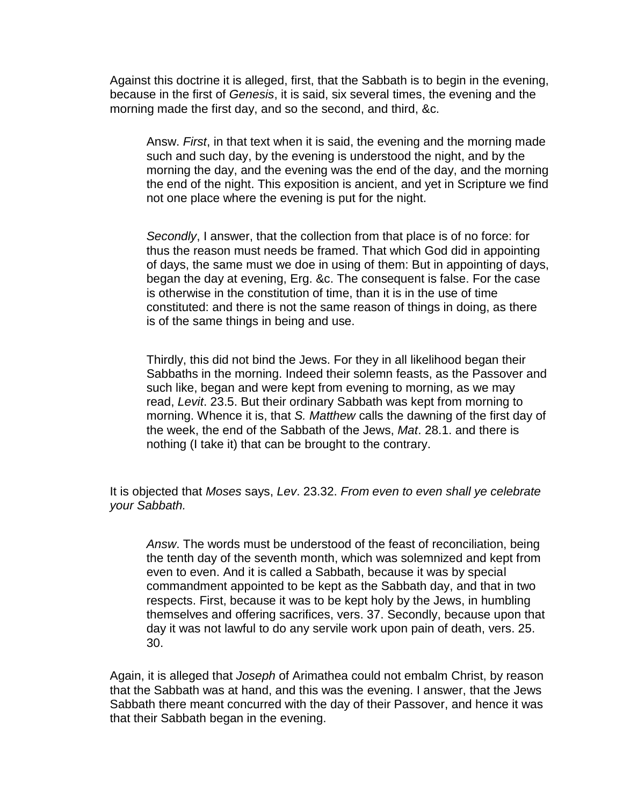Against this doctrine it is alleged, first, that the Sabbath is to begin in the evening, because in the first of *Genesis*, it is said, six several times, the evening and the morning made the first day, and so the second, and third, &c.

Answ. *First*, in that text when it is said, the evening and the morning made such and such day, by the evening is understood the night, and by the morning the day, and the evening was the end of the day, and the morning the end of the night. This exposition is ancient, and yet in Scripture we find not one place where the evening is put for the night.

*Secondly*, I answer, that the collection from that place is of no force: for thus the reason must needs be framed. That which God did in appointing of days, the same must we doe in using of them: But in appointing of days, began the day at evening, Erg. &c. The consequent is false. For the case is otherwise in the constitution of time, than it is in the use of time constituted: and there is not the same reason of things in doing, as there is of the same things in being and use.

Thirdly, this did not bind the Jews. For they in all likelihood began their Sabbaths in the morning. Indeed their solemn feasts, as the Passover and such like, began and were kept from evening to morning, as we may read, *Levit*. 23.5. But their ordinary Sabbath was kept from morning to morning. Whence it is, that *S. Matthew* calls the dawning of the first day of the week, the end of the Sabbath of the Jews, *Mat*. 28.1. and there is nothing (I take it) that can be brought to the contrary.

It is objected that *Moses* says, *Lev*. 23.32. *From even to even shall ye celebrate your Sabbath.* 

*Answ*. The words must be understood of the feast of reconciliation, being the tenth day of the seventh month, which was solemnized and kept from even to even. And it is called a Sabbath, because it was by special commandment appointed to be kept as the Sabbath day, and that in two respects. First, because it was to be kept holy by the Jews, in humbling themselves and offering sacrifices, vers. 37. Secondly, because upon that day it was not lawful to do any servile work upon pain of death, vers. 25. 30.

Again, it is alleged that *Joseph* of Arimathea could not embalm Christ, by reason that the Sabbath was at hand, and this was the evening. I answer, that the Jews Sabbath there meant concurred with the day of their Passover, and hence it was that their Sabbath began in the evening.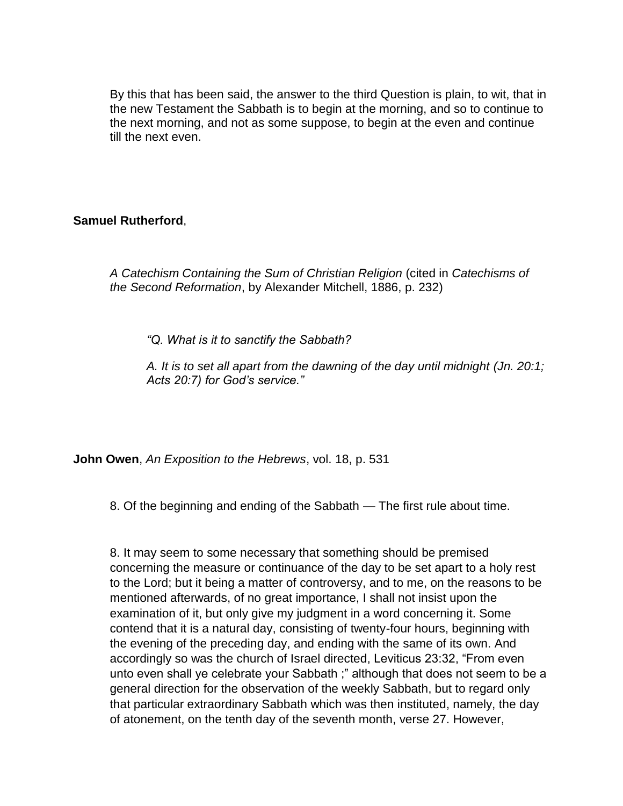By this that has been said, the answer to the third Question is plain, to wit, that in the new Testament the Sabbath is to begin at the morning, and so to continue to the next morning, and not as some suppose, to begin at the even and continue till the next even.

# **Samuel Rutherford**,

*A Catechism Containing the Sum of Christian Religion* (cited in *Catechisms of the Second Reformation*, by Alexander Mitchell, 1886, p. 232)

*"Q. What is it to sanctify the Sabbath?*

*A. It is to set all apart from the dawning of the day until midnight (Jn. 20:1; Acts 20:7) for God's service."*

**John Owen**, *An Exposition to the Hebrews*, vol. 18, p. 531

8. Of the beginning and ending of the Sabbath — The first rule about time.

8. It may seem to some necessary that something should be premised concerning the measure or continuance of the day to be set apart to a holy rest to the Lord; but it being a matter of controversy, and to me, on the reasons to be mentioned afterwards, of no great importance, I shall not insist upon the examination of it, but only give my judgment in a word concerning it. Some contend that it is a natural day, consisting of twenty-four hours, beginning with the evening of the preceding day, and ending with the same of its own. And accordingly so was the church of Israel directed, Leviticus 23:32, "From even unto even shall ye celebrate your Sabbath ;" although that does not seem to be a general direction for the observation of the weekly Sabbath, but to regard only that particular extraordinary Sabbath which was then instituted, namely, the day of atonement, on the tenth day of the seventh month, verse 27. However,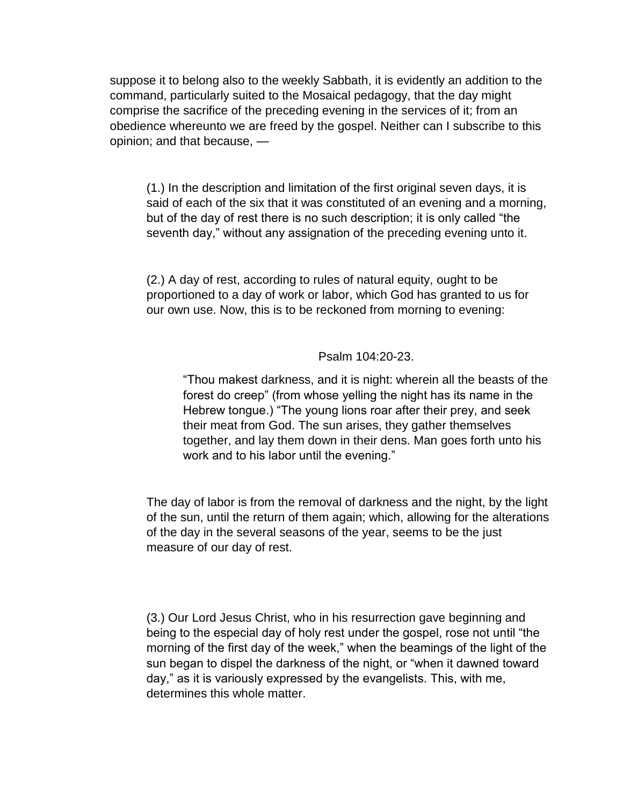suppose it to belong also to the weekly Sabbath, it is evidently an addition to the command, particularly suited to the Mosaical pedagogy, that the day might comprise the sacrifice of the preceding evening in the services of it; from an obedience whereunto we are freed by the gospel. Neither can I subscribe to this opinion; and that because, —

(1.) In the description and limitation of the first original seven days, it is said of each of the six that it was constituted of an evening and a morning, but of the day of rest there is no such description; it is only called "the seventh day," without any assignation of the preceding evening unto it.

(2.) A day of rest, according to rules of natural equity, ought to be proportioned to a day of work or labor, which God has granted to us for our own use. Now, this is to be reckoned from morning to evening:

#### Psalm 104:20-23.

"Thou makest darkness, and it is night: wherein all the beasts of the forest do creep" (from whose yelling the night has its name in the Hebrew tongue.) "The young lions roar after their prey, and seek their meat from God. The sun arises, they gather themselves together, and lay them down in their dens. Man goes forth unto his work and to his labor until the evening."

The day of labor is from the removal of darkness and the night, by the light of the sun, until the return of them again; which, allowing for the alterations of the day in the several seasons of the year, seems to be the just measure of our day of rest.

(3.) Our Lord Jesus Christ, who in his resurrection gave beginning and being to the especial day of holy rest under the gospel, rose not until "the morning of the first day of the week," when the beamings of the light of the sun began to dispel the darkness of the night, or "when it dawned toward day," as it is variously expressed by the evangelists. This, with me, determines this whole matter.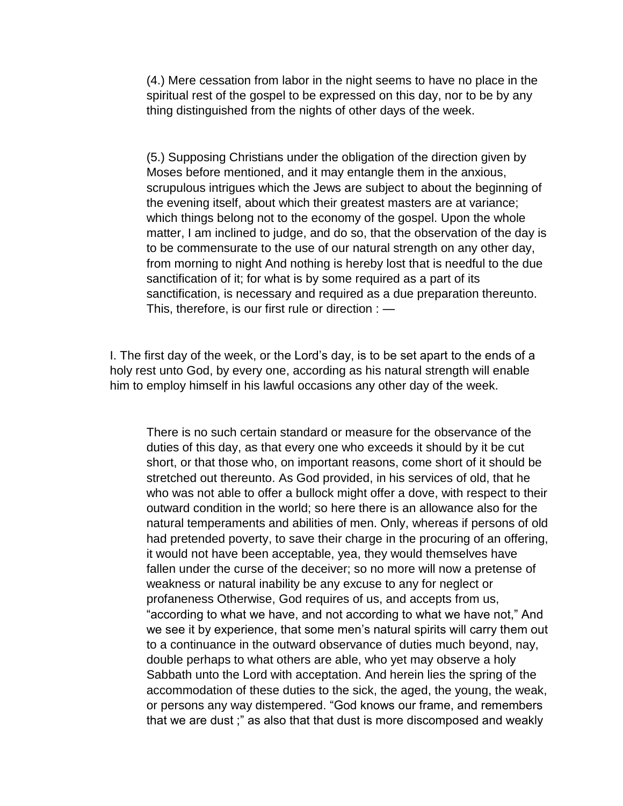(4.) Mere cessation from labor in the night seems to have no place in the spiritual rest of the gospel to be expressed on this day, nor to be by any thing distinguished from the nights of other days of the week.

(5.) Supposing Christians under the obligation of the direction given by Moses before mentioned, and it may entangle them in the anxious, scrupulous intrigues which the Jews are subject to about the beginning of the evening itself, about which their greatest masters are at variance; which things belong not to the economy of the gospel. Upon the whole matter, I am inclined to judge, and do so, that the observation of the day is to be commensurate to the use of our natural strength on any other day, from morning to night And nothing is hereby lost that is needful to the due sanctification of it; for what is by some required as a part of its sanctification, is necessary and required as a due preparation thereunto. This, therefore, is our first rule or direction : —

I. The first day of the week, or the Lord's day, is to be set apart to the ends of a holy rest unto God, by every one, according as his natural strength will enable him to employ himself in his lawful occasions any other day of the week.

There is no such certain standard or measure for the observance of the duties of this day, as that every one who exceeds it should by it be cut short, or that those who, on important reasons, come short of it should be stretched out thereunto. As God provided, in his services of old, that he who was not able to offer a bullock might offer a dove, with respect to their outward condition in the world; so here there is an allowance also for the natural temperaments and abilities of men. Only, whereas if persons of old had pretended poverty, to save their charge in the procuring of an offering, it would not have been acceptable, yea, they would themselves have fallen under the curse of the deceiver; so no more will now a pretense of weakness or natural inability be any excuse to any for neglect or profaneness Otherwise, God requires of us, and accepts from us, "according to what we have, and not according to what we have not," And we see it by experience, that some men's natural spirits will carry them out to a continuance in the outward observance of duties much beyond, nay, double perhaps to what others are able, who yet may observe a holy Sabbath unto the Lord with acceptation. And herein lies the spring of the accommodation of these duties to the sick, the aged, the young, the weak, or persons any way distempered. "God knows our frame, and remembers that we are dust ;" as also that that dust is more discomposed and weakly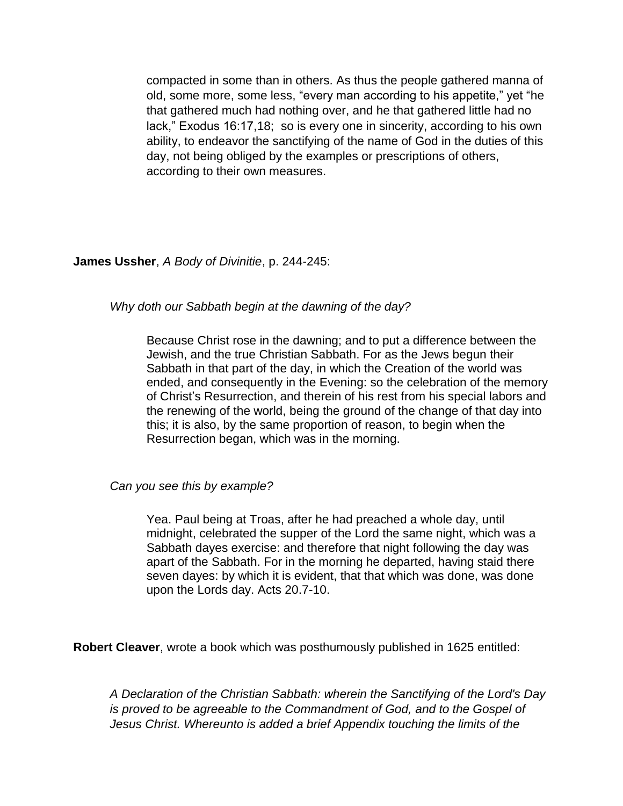compacted in some than in others. As thus the people gathered manna of old, some more, some less, "every man according to his appetite," yet "he that gathered much had nothing over, and he that gathered little had no lack," Exodus 16:17,18; so is every one in sincerity, according to his own ability, to endeavor the sanctifying of the name of God in the duties of this day, not being obliged by the examples or prescriptions of others, according to their own measures.

## **James Ussher**, *A Body of Divinitie*, p. 244-245:

#### *Why doth our Sabbath begin at the dawning of the day?*

Because Christ rose in the dawning; and to put a difference between the Jewish, and the true Christian Sabbath. For as the Jews begun their Sabbath in that part of the day, in which the Creation of the world was ended, and consequently in the Evening: so the celebration of the memory of Christ's Resurrection, and therein of his rest from his special labors and the renewing of the world, being the ground of the change of that day into this; it is also, by the same proportion of reason, to begin when the Resurrection began, which was in the morning.

#### *Can you see this by example?*

Yea. Paul being at Troas, after he had preached a whole day, until midnight, celebrated the supper of the Lord the same night, which was a Sabbath dayes exercise: and therefore that night following the day was apart of the Sabbath. For in the morning he departed, having staid there seven dayes: by which it is evident, that that which was done, was done upon the Lords day. Acts 20.7-10.

**Robert Cleaver**, wrote a book which was posthumously published in 1625 entitled:

*A Declaration of the Christian Sabbath: wherein the Sanctifying of the Lord's Day is proved to be agreeable to the Commandment of God, and to the Gospel of Jesus Christ. Whereunto is added a brief Appendix touching the limits of the*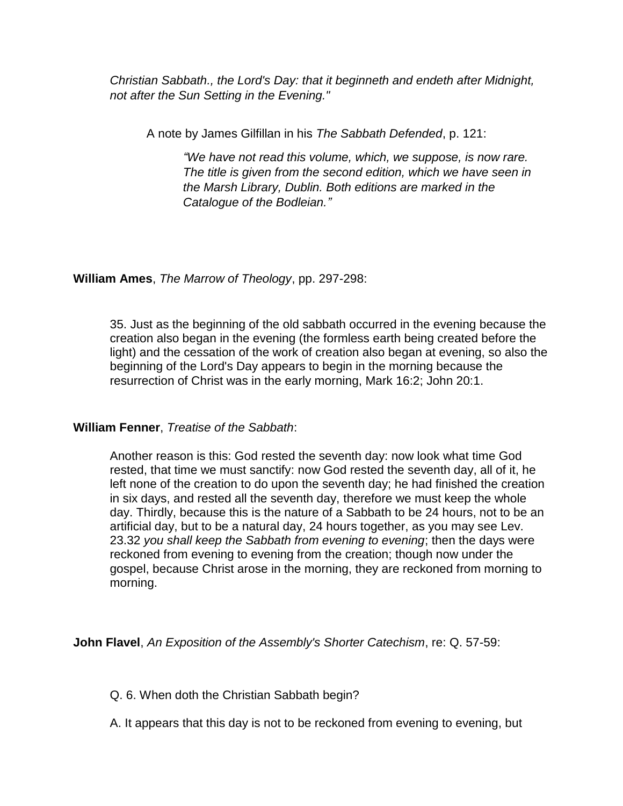*Christian Sabbath., the Lord's Day: that it beginneth and endeth after Midnight, not after the Sun Setting in the Evening."*

A note by James Gilfillan in his *The Sabbath Defended*, p. 121:

*"We have not read this volume, which, we suppose, is now rare. The title is given from the second edition, which we have seen in the Marsh Library, Dublin. Both editions are marked in the Catalogue of the Bodleian."*

**William Ames**, *The Marrow of Theology*, pp. 297-298:

35. Just as the beginning of the old sabbath occurred in the evening because the creation also began in the evening (the formless earth being created before the light) and the cessation of the work of creation also began at evening, so also the beginning of the Lord's Day appears to begin in the morning because the resurrection of Christ was in the early morning, Mark 16:2; John 20:1.

# **William Fenner**, *Treatise of the Sabbath*:

Another reason is this: God rested the seventh day: now look what time God rested, that time we must sanctify: now God rested the seventh day, all of it, he left none of the creation to do upon the seventh day; he had finished the creation in six days, and rested all the seventh day, therefore we must keep the whole day. Thirdly, because this is the nature of a Sabbath to be 24 hours, not to be an artificial day, but to be a natural day, 24 hours together, as you may see Lev. 23.32 *you shall keep the Sabbath from evening to evening*; then the days were reckoned from evening to evening from the creation; though now under the gospel, because Christ arose in the morning, they are reckoned from morning to morning.

**John Flavel**, *An Exposition of the Assembly's Shorter Catechism*, re: Q. 57-59:

Q. 6. When doth the Christian Sabbath begin?

A. It appears that this day is not to be reckoned from evening to evening, but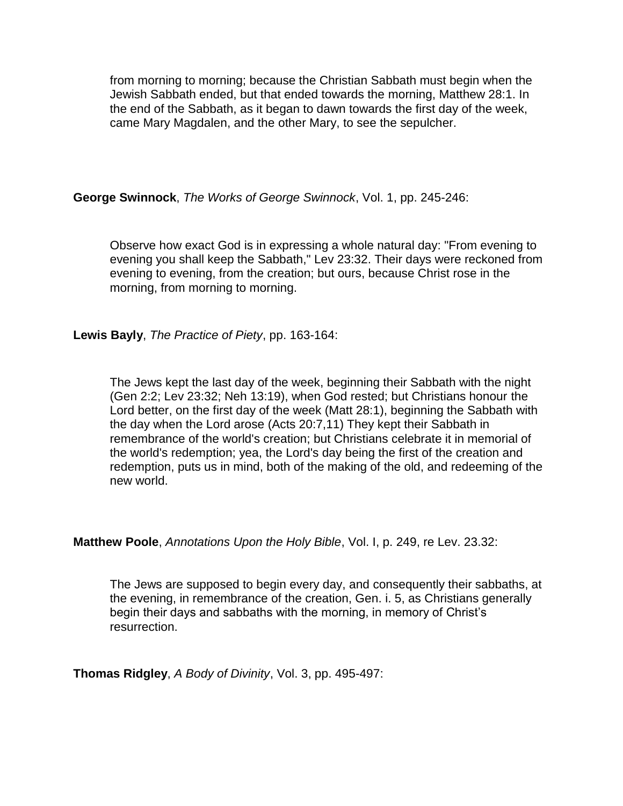from morning to morning; because the Christian Sabbath must begin when the Jewish Sabbath ended, but that ended towards the morning, Matthew 28:1. In the end of the Sabbath, as it began to dawn towards the first day of the week, came Mary Magdalen, and the other Mary, to see the sepulcher.

**George Swinnock**, *The Works of George Swinnock*, Vol. 1, pp. 245-246:

Observe how exact God is in expressing a whole natural day: "From evening to evening you shall keep the Sabbath," Lev 23:32. Their days were reckoned from evening to evening, from the creation; but ours, because Christ rose in the morning, from morning to morning.

**Lewis Bayly**, *The Practice of Piety*, pp. 163-164:

The Jews kept the last day of the week, beginning their Sabbath with the night (Gen 2:2; Lev 23:32; Neh 13:19), when God rested; but Christians honour the Lord better, on the first day of the week (Matt 28:1), beginning the Sabbath with the day when the Lord arose (Acts 20:7,11) They kept their Sabbath in remembrance of the world's creation; but Christians celebrate it in memorial of the world's redemption; yea, the Lord's day being the first of the creation and redemption, puts us in mind, both of the making of the old, and redeeming of the new world.

**Matthew Poole**, *Annotations Upon the Holy Bible*, Vol. I, p. 249, re Lev. 23.32:

The Jews are supposed to begin every day, and consequently their sabbaths, at the evening, in remembrance of the creation, Gen. i. 5, as Christians generally begin their days and sabbaths with the morning, in memory of Christ's resurrection.

**Thomas Ridgley**, *A Body of Divinity*, Vol. 3, pp. 495-497: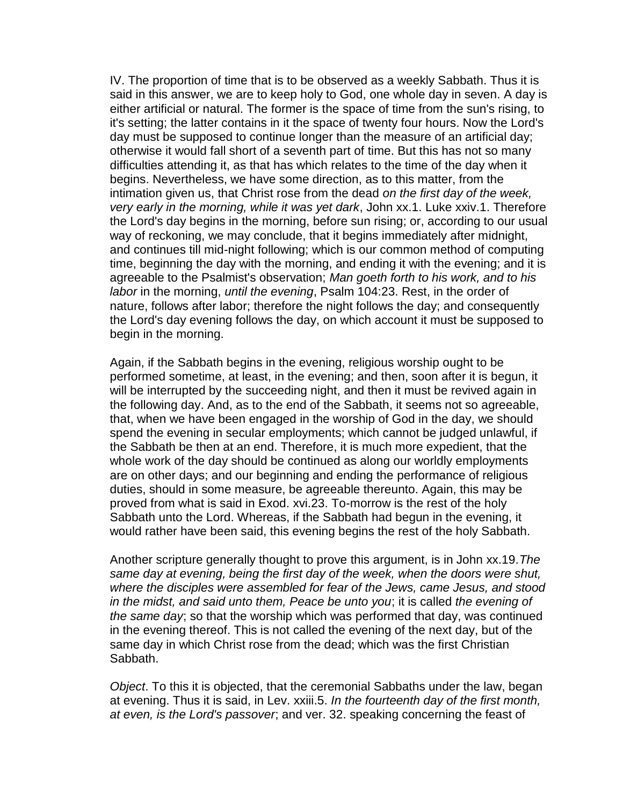IV. The proportion of time that is to be observed as a weekly Sabbath. Thus it is said in this answer, we are to keep holy to God, one whole day in seven. A day is either artificial or natural. The former is the space of time from the sun's rising, to it's setting; the latter contains in it the space of twenty four hours. Now the Lord's day must be supposed to continue longer than the measure of an artificial day; otherwise it would fall short of a seventh part of time. But this has not so many difficulties attending it, as that has which relates to the time of the day when it begins. Nevertheless, we have some direction, as to this matter, from the intimation given us, that Christ rose from the dead *on the first day of the week, very early in the morning, while it was yet dark*, John xx.1. Luke xxiv.1. Therefore the Lord's day begins in the morning, before sun rising; or, according to our usual way of reckoning, we may conclude, that it begins immediately after midnight, and continues till mid-night following; which is our common method of computing time, beginning the day with the morning, and ending it with the evening; and it is agreeable to the Psalmist's observation; *Man goeth forth to his work, and to his labor* in the morning, *until the evening*, Psalm 104:23. Rest, in the order of nature, follows after labor; therefore the night follows the day; and consequently the Lord's day evening follows the day, on which account it must be supposed to begin in the morning.

Again, if the Sabbath begins in the evening, religious worship ought to be performed sometime, at least, in the evening; and then, soon after it is begun, it will be interrupted by the succeeding night, and then it must be revived again in the following day. And, as to the end of the Sabbath, it seems not so agreeable, that, when we have been engaged in the worship of God in the day, we should spend the evening in secular employments; which cannot be judged unlawful, if the Sabbath be then at an end. Therefore, it is much more expedient, that the whole work of the day should be continued as along our worldly employments are on other days; and our beginning and ending the performance of religious duties, should in some measure, be agreeable thereunto. Again, this may be proved from what is said in Exod. xvi.23. To-morrow is the rest of the holy Sabbath unto the Lord. Whereas, if the Sabbath had begun in the evening, it would rather have been said, this evening begins the rest of the holy Sabbath.

Another scripture generally thought to prove this argument, is in John xx.19.*The same day at evening, being the first day of the week, when the doors were shut, where the disciples were assembled for fear of the Jews, came Jesus, and stood in the midst, and said unto them, Peace be unto you*; it is called *the evening of the same day*; so that the worship which was performed that day, was continued in the evening thereof. This is not called the evening of the next day, but of the same day in which Christ rose from the dead; which was the first Christian Sabbath.

*Object*. To this it is objected, that the ceremonial Sabbaths under the law, began at evening. Thus it is said, in Lev. xxiii.5. *In the fourteenth day of the first month, at even, is the Lord's passover*; and ver. 32. speaking concerning the feast of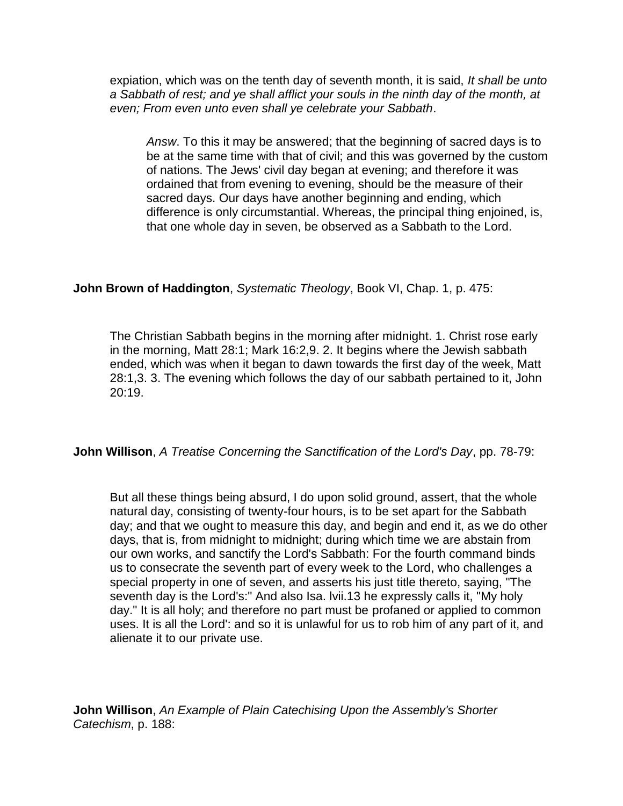expiation, which was on the tenth day of seventh month, it is said, *It shall be unto a Sabbath of rest; and ye shall afflict your souls in the ninth day of the month, at even; From even unto even shall ye celebrate your Sabbath*.

*Answ*. To this it may be answered; that the beginning of sacred days is to be at the same time with that of civil; and this was governed by the custom of nations. The Jews' civil day began at evening; and therefore it was ordained that from evening to evening, should be the measure of their sacred days. Our days have another beginning and ending, which difference is only circumstantial. Whereas, the principal thing enjoined, is, that one whole day in seven, be observed as a Sabbath to the Lord.

# **John Brown of Haddington**, *Systematic Theology*, Book VI, Chap. 1, p. 475:

The Christian Sabbath begins in the morning after midnight. 1. Christ rose early in the morning, Matt 28:1; Mark 16:2,9. 2. It begins where the Jewish sabbath ended, which was when it began to dawn towards the first day of the week, Matt 28:1,3. 3. The evening which follows the day of our sabbath pertained to it, John 20:19.

**John Willison**, *A Treatise Concerning the Sanctification of the Lord's Day*, pp. 78-79:

But all these things being absurd, I do upon solid ground, assert, that the whole natural day, consisting of twenty-four hours, is to be set apart for the Sabbath day; and that we ought to measure this day, and begin and end it, as we do other days, that is, from midnight to midnight; during which time we are abstain from our own works, and sanctify the Lord's Sabbath: For the fourth command binds us to consecrate the seventh part of every week to the Lord, who challenges a special property in one of seven, and asserts his just title thereto, saying, "The seventh day is the Lord's:" And also Isa. lvii.13 he expressly calls it, "My holy day." It is all holy; and therefore no part must be profaned or applied to common uses. It is all the Lord': and so it is unlawful for us to rob him of any part of it, and alienate it to our private use.

**John Willison**, *An Example of Plain Catechising Upon the Assembly's Shorter Catechism*, p. 188: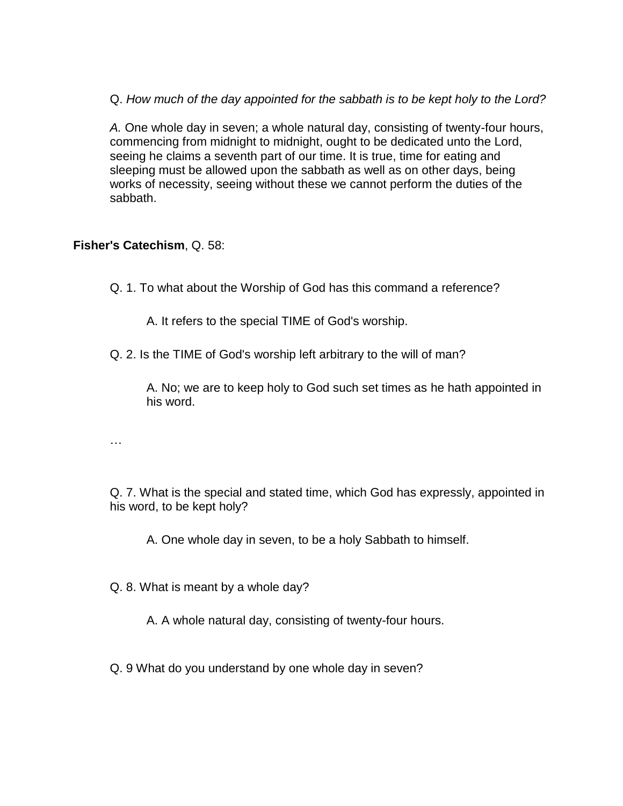Q. *How much of the day appointed for the sabbath is to be kept holy to the Lord?*

*A.* One whole day in seven; a whole natural day, consisting of twenty-four hours, commencing from midnight to midnight, ought to be dedicated unto the Lord, seeing he claims a seventh part of our time. It is true, time for eating and sleeping must be allowed upon the sabbath as well as on other days, being works of necessity, seeing without these we cannot perform the duties of the sabbath.

**Fisher's Catechism**, Q. 58:

Q. 1. To what about the Worship of God has this command a reference?

A. It refers to the special TIME of God's worship.

Q. 2. Is the TIME of God's worship left arbitrary to the will of man?

A. No; we are to keep holy to God such set times as he hath appointed in his word.

…

Q. 7. What is the special and stated time, which God has expressly, appointed in his word, to be kept holy?

A. One whole day in seven, to be a holy Sabbath to himself.

Q. 8. What is meant by a whole day?

A. A whole natural day, consisting of twenty-four hours.

Q. 9 What do you understand by one whole day in seven?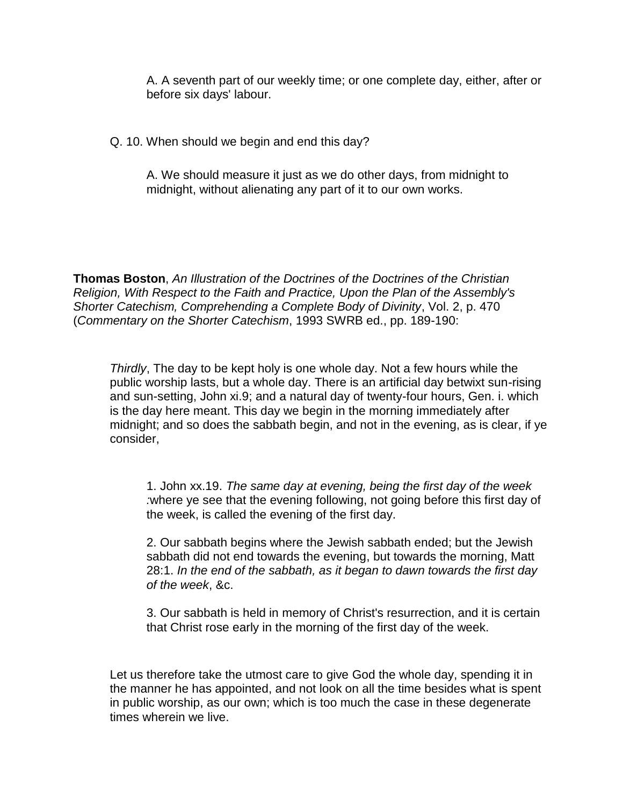A. A seventh part of our weekly time; or one complete day, either, after or before six days' labour.

Q. 10. When should we begin and end this day?

A. We should measure it just as we do other days, from midnight to midnight, without alienating any part of it to our own works.

**Thomas Boston**, *An Illustration of the Doctrines of the Doctrines of the Christian Religion, With Respect to the Faith and Practice, Upon the Plan of the Assembly's Shorter Catechism, Comprehending a Complete Body of Divinity*, Vol. 2, p. 470 (*Commentary on the Shorter Catechism*, 1993 SWRB ed., pp. 189-190:

*Thirdly*, The day to be kept holy is one whole day. Not a few hours while the public worship lasts, but a whole day. There is an artificial day betwixt sun-rising and sun-setting, John xi.9; and a natural day of twenty-four hours, Gen. i. which is the day here meant. This day we begin in the morning immediately after midnight; and so does the sabbath begin, and not in the evening, as is clear, if ye consider,

1. John xx.19. *The same day at evening, being the first day of the week :*where ye see that the evening following, not going before this first day of the week, is called the evening of the first day.

2. Our sabbath begins where the Jewish sabbath ended; but the Jewish sabbath did not end towards the evening, but towards the morning, Matt 28:1. *In the end of the sabbath, as it began to dawn towards the first day of the week*, &c.

3. Our sabbath is held in memory of Christ's resurrection, and it is certain that Christ rose early in the morning of the first day of the week.

Let us therefore take the utmost care to give God the whole day, spending it in the manner he has appointed, and not look on all the time besides what is spent in public worship, as our own; which is too much the case in these degenerate times wherein we live.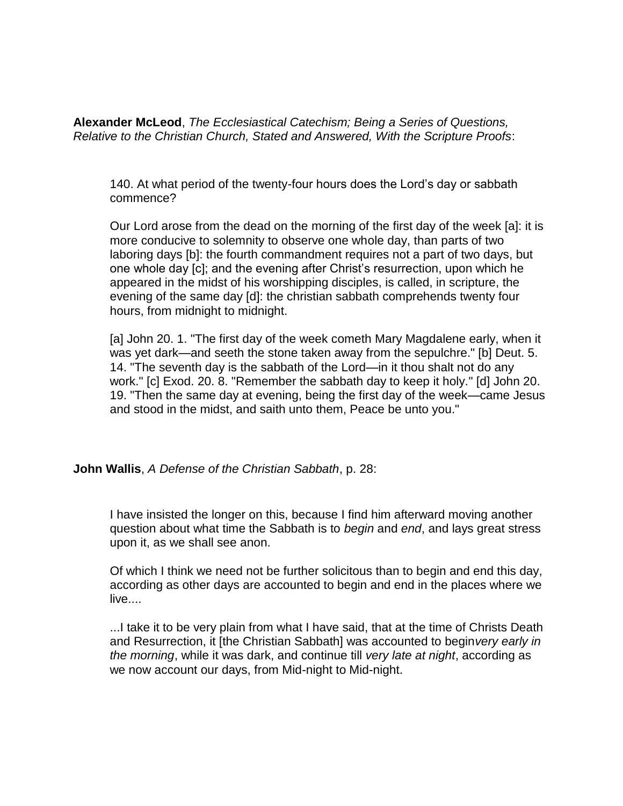**Alexander McLeod**, *The Ecclesiastical Catechism; Being a Series of Questions, Relative to the Christian Church, Stated and Answered, With the Scripture Proofs*:

140. At what period of the twenty-four hours does the Lord's day or sabbath commence?

Our Lord arose from the dead on the morning of the first day of the week [a]: it is more conducive to solemnity to observe one whole day, than parts of two laboring days [b]: the fourth commandment requires not a part of two days, but one whole day [c]; and the evening after Christ's resurrection, upon which he appeared in the midst of his worshipping disciples, is called, in scripture, the evening of the same day [d]: the christian sabbath comprehends twenty four hours, from midnight to midnight.

[a] John 20. 1. "The first day of the week cometh Mary Magdalene early, when it was yet dark—and seeth the stone taken away from the sepulchre." [b] Deut. 5. 14. "The seventh day is the sabbath of the Lord—in it thou shalt not do any work." [c] Exod. 20. 8. "Remember the sabbath day to keep it holy." [d] John 20. 19. "Then the same day at evening, being the first day of the week—came Jesus and stood in the midst, and saith unto them, Peace be unto you."

**John Wallis**, *A Defense of the Christian Sabbath*, p. 28:

I have insisted the longer on this, because I find him afterward moving another question about what time the Sabbath is to *begin* and *end*, and lays great stress upon it, as we shall see anon.

Of which I think we need not be further solicitous than to begin and end this day, according as other days are accounted to begin and end in the places where we live....

...I take it to be very plain from what I have said, that at the time of Christs Death and Resurrection, it [the Christian Sabbath] was accounted to begin*very early in the morning*, while it was dark, and continue till *very late at night*, according as we now account our days, from Mid-night to Mid-night.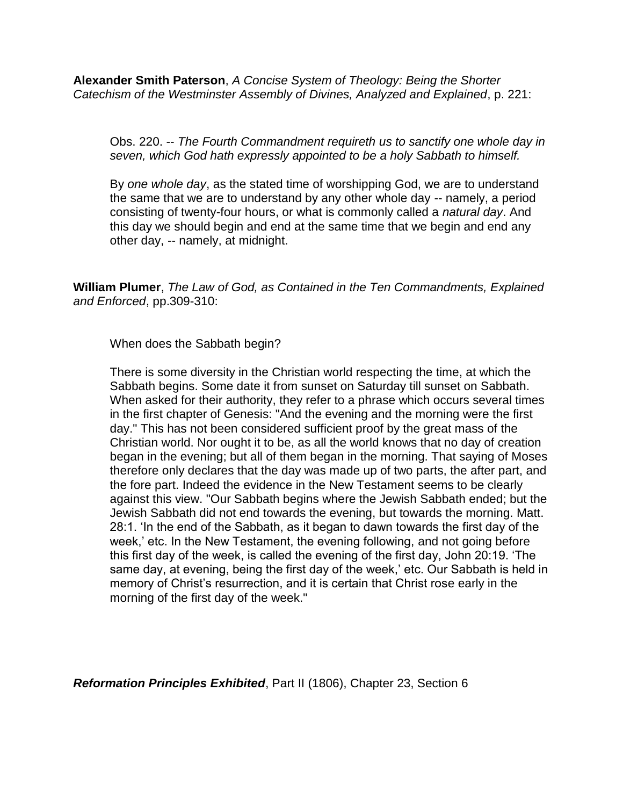**Alexander Smith Paterson**, *A Concise System of Theology: Being the Shorter Catechism of the Westminster Assembly of Divines, Analyzed and Explained*, p. 221:

Obs. 220. -- *The Fourth Commandment requireth us to sanctify one whole day in seven, which God hath expressly appointed to be a holy Sabbath to himself.*

By *one whole day*, as the stated time of worshipping God, we are to understand the same that we are to understand by any other whole day -- namely, a period consisting of twenty-four hours, or what is commonly called a *natural day*. And this day we should begin and end at the same time that we begin and end any other day, -- namely, at midnight.

**William Plumer**, *The Law of God, as Contained in the Ten Commandments, Explained and Enforced*, pp.309-310:

When does the Sabbath begin?

There is some diversity in the Christian world respecting the time, at which the Sabbath begins. Some date it from sunset on Saturday till sunset on Sabbath. When asked for their authority, they refer to a phrase which occurs several times in the first chapter of Genesis: "And the evening and the morning were the first day." This has not been considered sufficient proof by the great mass of the Christian world. Nor ought it to be, as all the world knows that no day of creation began in the evening; but all of them began in the morning. That saying of Moses therefore only declares that the day was made up of two parts, the after part, and the fore part. Indeed the evidence in the New Testament seems to be clearly against this view. "Our Sabbath begins where the Jewish Sabbath ended; but the Jewish Sabbath did not end towards the evening, but towards the morning. Matt. 28:1. 'In the end of the Sabbath, as it began to dawn towards the first day of the week,' etc. In the New Testament, the evening following, and not going before this first day of the week, is called the evening of the first day, John 20:19. 'The same day, at evening, being the first day of the week,' etc. Our Sabbath is held in memory of Christ's resurrection, and it is certain that Christ rose early in the morning of the first day of the week."

*Reformation Principles Exhibited*, Part II (1806), Chapter 23, Section 6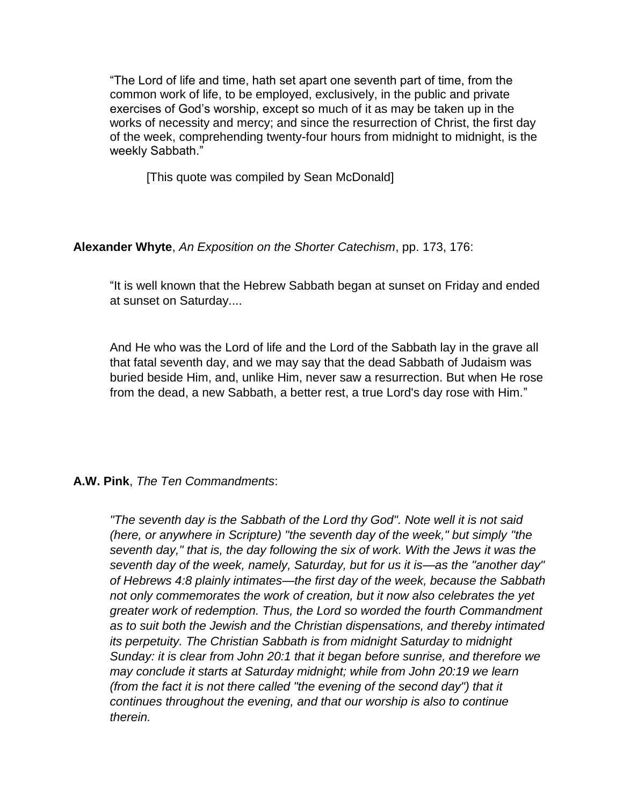"The Lord of life and time, hath set apart one seventh part of time, from the common work of life, to be employed, exclusively, in the public and private exercises of God's worship, except so much of it as may be taken up in the works of necessity and mercy; and since the resurrection of Christ, the first day of the week, comprehending twenty-four hours from midnight to midnight, is the weekly Sabbath."

[This quote was compiled by Sean McDonald]

**Alexander Whyte**, *An Exposition on the Shorter Catechism*, pp. 173, 176:

"It is well known that the Hebrew Sabbath began at sunset on Friday and ended at sunset on Saturday....

And He who was the Lord of life and the Lord of the Sabbath lay in the grave all that fatal seventh day, and we may say that the dead Sabbath of Judaism was buried beside Him, and, unlike Him, never saw a resurrection. But when He rose from the dead, a new Sabbath, a better rest, a true Lord's day rose with Him."

# **A.W. Pink**, *The Ten Commandments*:

*"The seventh day is the Sabbath of the Lord thy God". Note well it is not said (here, or anywhere in Scripture) "the seventh day of the week," but simply "the seventh day," that is, the day following the six of work. With the Jews it was the seventh day of the week, namely, Saturday, but for us it is—as the "another day" of Hebrews 4:8 plainly intimates—the first day of the week, because the Sabbath not only commemorates the work of creation, but it now also celebrates the yet greater work of redemption. Thus, the Lord so worded the fourth Commandment as to suit both the Jewish and the Christian dispensations, and thereby intimated its perpetuity. The Christian Sabbath is from midnight Saturday to midnight Sunday: it is clear from John 20:1 that it began before sunrise, and therefore we may conclude it starts at Saturday midnight; while from John 20:19 we learn (from the fact it is not there called "the evening of the second day") that it continues throughout the evening, and that our worship is also to continue therein.*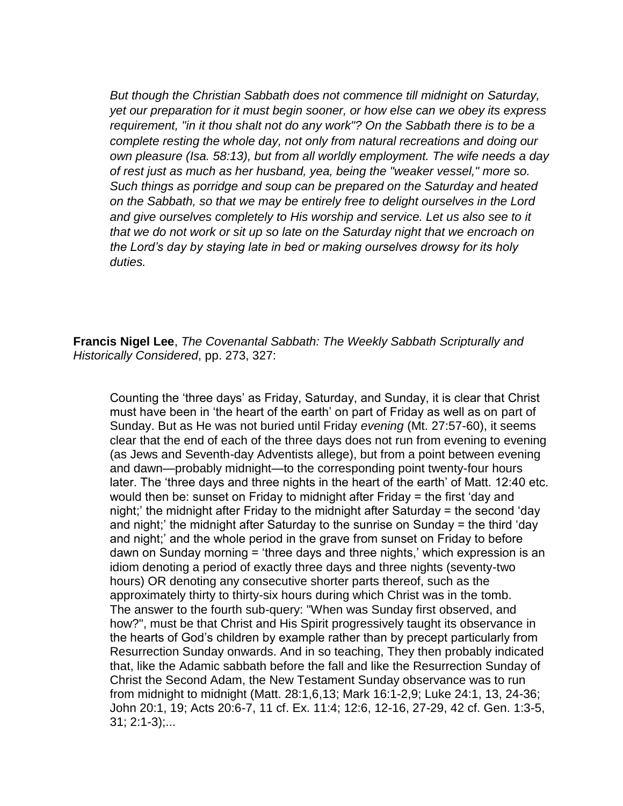*But though the Christian Sabbath does not commence till midnight on Saturday, yet our preparation for it must begin sooner, or how else can we obey its express requirement, "in it thou shalt not do any work"? On the Sabbath there is to be a complete resting the whole day, not only from natural recreations and doing our own pleasure (Isa. 58:13), but from all worldly employment. The wife needs a day of rest just as much as her husband, yea, being the "weaker vessel," more so. Such things as porridge and soup can be prepared on the Saturday and heated on the Sabbath, so that we may be entirely free to delight ourselves in the Lord and give ourselves completely to His worship and service. Let us also see to it that we do not work or sit up so late on the Saturday night that we encroach on the Lord's day by staying late in bed or making ourselves drowsy for its holy duties.*

**Francis Nigel Lee**, *The Covenantal Sabbath: The Weekly Sabbath Scripturally and Historically Considered*, pp. 273, 327:

Counting the 'three days' as Friday, Saturday, and Sunday, it is clear that Christ must have been in 'the heart of the earth' on part of Friday as well as on part of Sunday. But as He was not buried until Friday *evening* (Mt. 27:57-60), it seems clear that the end of each of the three days does not run from evening to evening (as Jews and Seventh-day Adventists allege), but from a point between evening and dawn—probably midnight—to the corresponding point twenty-four hours later. The 'three days and three nights in the heart of the earth' of Matt. 12:40 etc. would then be: sunset on Friday to midnight after Friday = the first 'day and night;' the midnight after Friday to the midnight after Saturday = the second 'day and night;' the midnight after Saturday to the sunrise on Sunday = the third 'day and night;' and the whole period in the grave from sunset on Friday to before dawn on Sunday morning = 'three days and three nights,' which expression is an idiom denoting a period of exactly three days and three nights (seventy-two hours) OR denoting any consecutive shorter parts thereof, such as the approximately thirty to thirty-six hours during which Christ was in the tomb. The answer to the fourth sub-query: "When was Sunday first observed, and how?", must be that Christ and His Spirit progressively taught its observance in the hearts of God's children by example rather than by precept particularly from Resurrection Sunday onwards. And in so teaching, They then probably indicated that, like the Adamic sabbath before the fall and like the Resurrection Sunday of Christ the Second Adam, the New Testament Sunday observance was to run from midnight to midnight (Matt. 28:1,6,13; Mark 16:1-2,9; Luke 24:1, 13, 24-36; John 20:1, 19; Acts 20:6-7, 11 cf. Ex. 11:4; 12:6, 12-16, 27-29, 42 cf. Gen. 1:3-5, 31; 2:1-3);...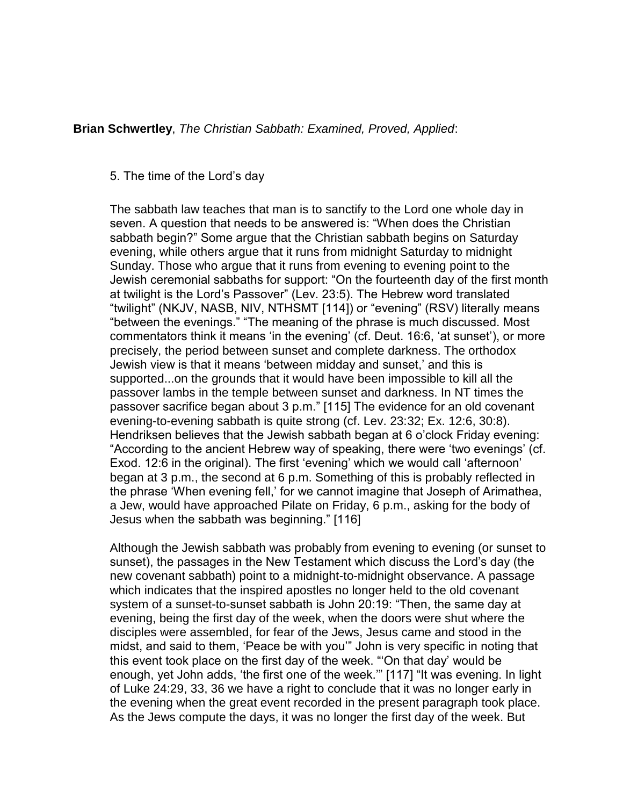## **Brian Schwertley**, *[The Christian Sabbath: Examined, Proved, Applied](http://reformedonline.com/view/reformedonline/sabbath2.htm)*:

#### 5. The time of the Lord's day

The sabbath law teaches that man is to sanctify to the Lord one whole day in seven. A question that needs to be answered is: "When does the Christian sabbath begin?" Some argue that the Christian sabbath begins on Saturday evening, while others argue that it runs from midnight Saturday to midnight Sunday. Those who argue that it runs from evening to evening point to the Jewish ceremonial sabbaths for support: "On the fourteenth day of the first month at twilight is the Lord's Passover" (Lev. 23:5). The Hebrew word translated "twilight" (NKJV, NASB, NIV, NTHSMT [114]) or "evening" (RSV) literally means "between the evenings." "The meaning of the phrase is much discussed. Most commentators think it means 'in the evening' (cf. Deut. 16:6, 'at sunset'), or more precisely, the period between sunset and complete darkness. The orthodox Jewish view is that it means 'between midday and sunset,' and this is supported...on the grounds that it would have been impossible to kill all the passover lambs in the temple between sunset and darkness. In NT times the passover sacrifice began about 3 p.m." [115] The evidence for an old covenant evening-to-evening sabbath is quite strong (cf. Lev. 23:32; Ex. 12:6, 30:8). Hendriksen believes that the Jewish sabbath began at 6 o'clock Friday evening: "According to the ancient Hebrew way of speaking, there were 'two evenings' (cf. Exod. 12:6 in the original). The first 'evening' which we would call 'afternoon' began at 3 p.m., the second at 6 p.m. Something of this is probably reflected in the phrase 'When evening fell,' for we cannot imagine that Joseph of Arimathea, a Jew, would have approached Pilate on Friday, 6 p.m., asking for the body of Jesus when the sabbath was beginning." [116]

Although the Jewish sabbath was probably from evening to evening (or sunset to sunset), the passages in the New Testament which discuss the Lord's day (the new covenant sabbath) point to a midnight-to-midnight observance. A passage which indicates that the inspired apostles no longer held to the old covenant system of a sunset-to-sunset sabbath is John 20:19: "Then, the same day at evening, being the first day of the week, when the doors were shut where the disciples were assembled, for fear of the Jews, Jesus came and stood in the midst, and said to them, 'Peace be with you'" John is very specific in noting that this event took place on the first day of the week. "'On that day' would be enough, yet John adds, 'the first one of the week.'" [117] "It was evening. In light of Luke 24:29, 33, 36 we have a right to conclude that it was no longer early in the evening when the great event recorded in the present paragraph took place. As the Jews compute the days, it was no longer the first day of the week. But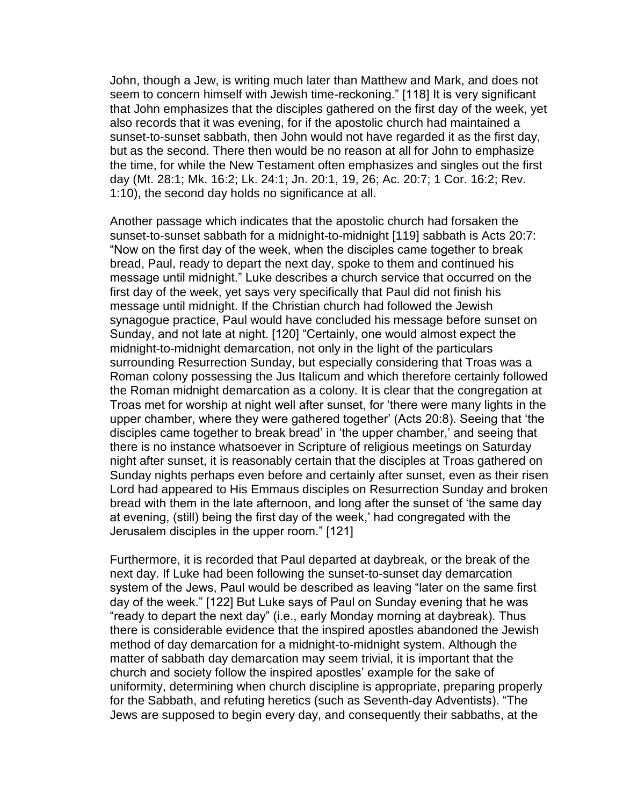John, though a Jew, is writing much later than Matthew and Mark, and does not seem to concern himself with Jewish time-reckoning." [118] It is very significant that John emphasizes that the disciples gathered on the first day of the week, yet also records that it was evening, for if the apostolic church had maintained a sunset-to-sunset sabbath, then John would not have regarded it as the first day, but as the second. There then would be no reason at all for John to emphasize the time, for while the New Testament often emphasizes and singles out the first day (Mt. 28:1; Mk. 16:2; Lk. 24:1; Jn. 20:1, 19, 26; Ac. 20:7; 1 Cor. 16:2; Rev. 1:10), the second day holds no significance at all.

Another passage which indicates that the apostolic church had forsaken the sunset-to-sunset sabbath for a midnight-to-midnight [119] sabbath is Acts 20:7: "Now on the first day of the week, when the disciples came together to break bread, Paul, ready to depart the next day, spoke to them and continued his message until midnight." Luke describes a church service that occurred on the first day of the week, yet says very specifically that Paul did not finish his message until midnight. If the Christian church had followed the Jewish synagogue practice, Paul would have concluded his message before sunset on Sunday, and not late at night. [120] "Certainly, one would almost expect the midnight-to-midnight demarcation, not only in the light of the particulars surrounding Resurrection Sunday, but especially considering that Troas was a Roman colony possessing the Jus Italicum and which therefore certainly followed the Roman midnight demarcation as a colony. It is clear that the congregation at Troas met for worship at night well after sunset, for 'there were many lights in the upper chamber, where they were gathered together' (Acts 20:8). Seeing that 'the disciples came together to break bread' in 'the upper chamber,' and seeing that there is no instance whatsoever in Scripture of religious meetings on Saturday night after sunset, it is reasonably certain that the disciples at Troas gathered on Sunday nights perhaps even before and certainly after sunset, even as their risen Lord had appeared to His Emmaus disciples on Resurrection Sunday and broken bread with them in the late afternoon, and long after the sunset of 'the same day at evening, (still) being the first day of the week,' had congregated with the Jerusalem disciples in the upper room." [121]

Furthermore, it is recorded that Paul departed at daybreak, or the break of the next day. If Luke had been following the sunset-to-sunset day demarcation system of the Jews, Paul would be described as leaving "later on the same first day of the week." [122] But Luke says of Paul on Sunday evening that he was "ready to depart the next day" (i.e., early Monday morning at daybreak). Thus there is considerable evidence that the inspired apostles abandoned the Jewish method of day demarcation for a midnight-to-midnight system. Although the matter of sabbath day demarcation may seem trivial, it is important that the church and society follow the inspired apostles' example for the sake of uniformity, determining when church discipline is appropriate, preparing properly for the Sabbath, and refuting heretics (such as Seventh-day Adventists). "The Jews are supposed to begin every day, and consequently their sabbaths, at the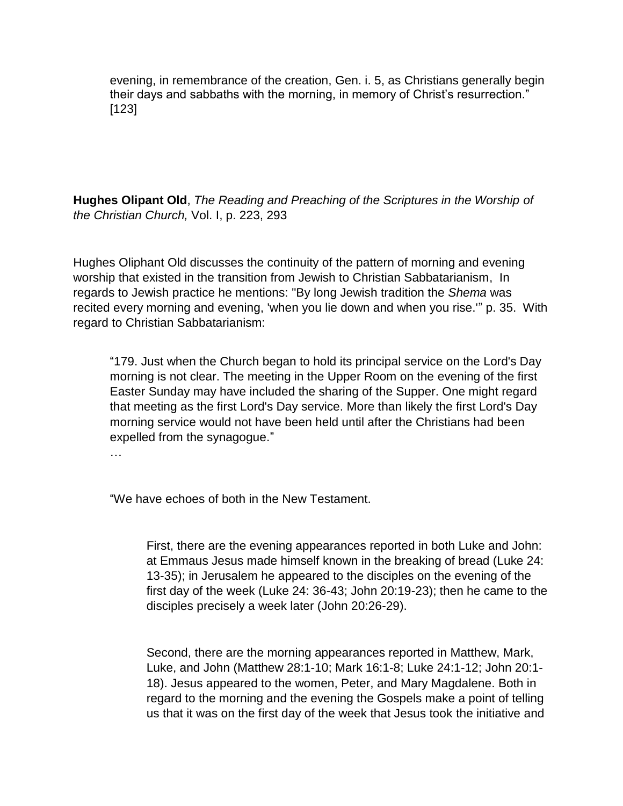evening, in remembrance of the creation, Gen. i. 5, as Christians generally begin their days and sabbaths with the morning, in memory of Christ's resurrection." [123]

**Hughes Olipant Old**, *The Reading and Preaching of the Scriptures in the Worship of the Christian Church,* Vol. I, p. 223, 293

Hughes Oliphant Old discusses the continuity of the pattern of morning and evening worship that existed in the transition from Jewish to Christian Sabbatarianism, In regards to Jewish practice he mentions: "By long Jewish tradition the *Shema* was recited every morning and evening, 'when you lie down and when you rise.'" p. 35. With regard to Christian Sabbatarianism:

"179. Just when the Church began to hold its principal service on the Lord's Day morning is not clear. The meeting in the Upper Room on the evening of the first Easter Sunday may have included the sharing of the Supper. One might regard that meeting as the first Lord's Day service. More than likely the first Lord's Day morning service would not have been held until after the Christians had been expelled from the synagogue."

…

"We have echoes of both in the New Testament.

First, there are the evening appearances reported in both Luke and John: at Emmaus Jesus made himself known in the breaking of bread (Luke 24: 13-35); in Jerusalem he appeared to the disciples on the evening of the first day of the week (Luke 24: 36-43; John 20:19-23); then he came to the disciples precisely a week later (John 20:26-29).

Second, there are the morning appearances reported in Matthew, Mark, Luke, and John (Matthew 28:1-10; Mark 16:1-8; Luke 24:1-12; John 20:1- 18). Jesus appeared to the women, Peter, and Mary Magdalene. Both in regard to the morning and the evening the Gospels make a point of telling us that it was on the first day of the week that Jesus took the initiative and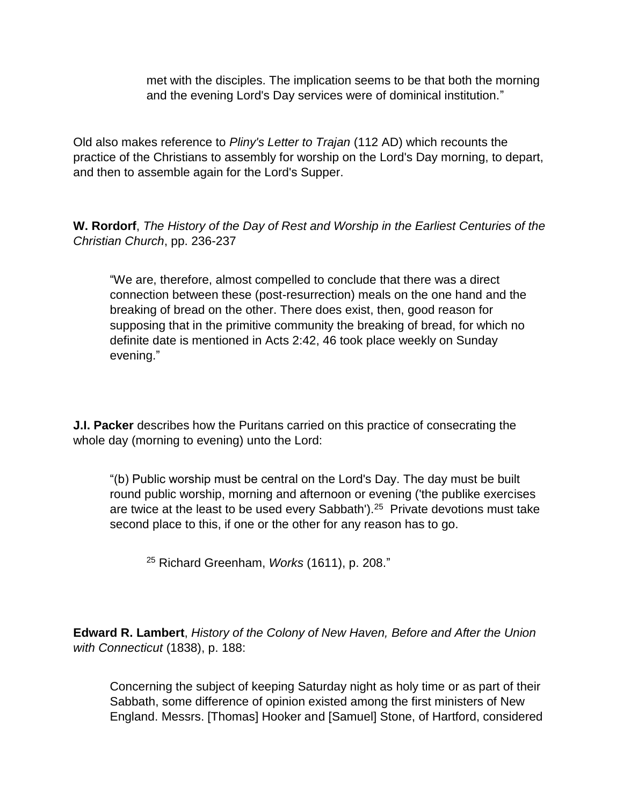met with the disciples. The implication seems to be that both the morning and the evening Lord's Day services were of dominical institution."

Old also makes reference to *[Pliny's Letter to Trajan](http://ccat.sas.upenn.edu/jod/texts/pliny.html)* (112 AD) which recounts the practice of the Christians to assembly for worship on the Lord's Day morning, to depart, and then to assemble again for the Lord's Supper.

**W. Rordorf**, *The History of the Day of Rest and Worship in the Earliest Centuries of the Christian Church*, pp. 236-237

"We are, therefore, almost compelled to conclude that there was a direct connection between these (post-resurrection) meals on the one hand and the breaking of bread on the other. There does exist, then, good reason for supposing that in the primitive community the breaking of bread, for which no definite date is mentioned in Acts 2:42, 46 took place weekly on Sunday evening."

**J.I. Packer** describes how the Puritans carried on this practice of consecrating the whole day (morning to evening) unto the Lord:

"(b) Public worship must be central on the Lord's Day. The day must be built round public worship, morning and afternoon or evening ('the publike exercises are twice at the least to be used every Sabbath').<sup>25</sup> Private devotions must take second place to this, if one or the other for any reason has to go.

<sup>25</sup> Richard Greenham, *Works* (1611), p. 208."

**Edward R. Lambert**, *History of the Colony of New Haven, Before and After the Union with Connecticut* (1838), p. 188:

Concerning the subject of keeping Saturday night as holy time or as part of their Sabbath, some difference of opinion existed among the first ministers of New England. Messrs. [Thomas] Hooker and [Samuel] Stone, of Hartford, considered